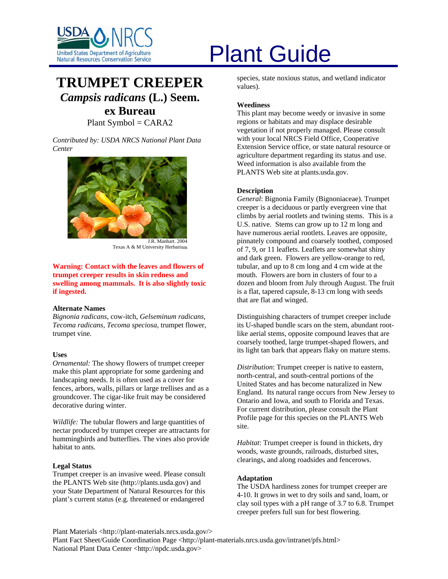

## **TRUMPET CREEPER** *Campsis radicans* **(L.) Seem.**

### **ex Bureau**

Plant Symbol  $=$  CARA2

*Contributed by: USDA NRCS National Plant Data Center* 



J.R. Manhart. 2004 Texas A & M University Herbarium

#### **Warning: Contact with the leaves and flowers of trumpet creeper results in skin redness and swelling among mammals. It is also slightly toxic if ingested.**

#### **Alternate Names**

*Bignonia radicans,* cow-itch, *Gelseminum radicans, Tecoma radicans, Tecoma speciosa,* trumpet flower, trumpet vine*.* 

#### **Uses**

*Ornamental:* The showy flowers of trumpet creeper make this plant appropriate for some gardening and landscaping needs. It is often used as a cover for fences, arbors, walls, pillars or large trellises and as a groundcover. The cigar-like fruit may be considered decorative during winter.

*Wildlife:* The tubular flowers and large quantities of nectar produced by trumpet creeper are attractants for hummingbirds and butterflies. The vines also provide habitat to ants.

#### **Legal Status**

Trumpet creeper is an invasive weed. Please consult the PLANTS Web site (http://plants.usda.gov) and your State Department of Natural Resources for this plant's current status (e.g. threatened or endangered

# United States Department of Agriculture<br>Natural Resources Conservation Service

species, state noxious status, and wetland indicator values).

#### **Weediness**

This plant may become weedy or invasive in some regions or habitats and may displace desirable vegetation if not properly managed. Please consult with your local NRCS Field Office, Cooperative Extension Service office, or state natural resource or agriculture department regarding its status and use. Weed information is also available from the PLANTS Web site at plants.usda.gov.

#### **Description**

*General*: Bignonia Family (Bignoniaceae). Trumpet creeper is a deciduous or partly evergreen vine that climbs by aerial rootlets and twining stems. This is a U.S. native. Stems can grow up to 12 m long and have numerous aerial rootlets. Leaves are opposite, pinnately compound and coarsely toothed, composed of 7, 9, or 11 leaflets. Leaflets are somewhat shiny and dark green. Flowers are yellow-orange to red, tubular, and up to 8 cm long and 4 cm wide at the mouth. Flowers are born in clusters of four to a dozen and bloom from July through August. The fruit is a flat, tapered capsule, 8-13 cm long with seeds that are flat and winged.

Distinguishing characters of trumpet creeper include its U-shaped bundle scars on the stem, abundant rootlike aerial stems, opposite compound leaves that are coarsely toothed, large trumpet-shaped flowers, and its light tan bark that appears flaky on mature stems.

*Distribution*: Trumpet creeper is native to eastern, north-central, and south-central portions of the United States and has become naturalized in New England. Its natural range occurs from New Jersey to Ontario and Iowa, and south to Florida and Texas. For current distribution, please consult the Plant Profile page for this species on the PLANTS Web site.

*Habitat*: Trumpet creeper is found in thickets, dry woods, waste grounds, railroads, disturbed sites, clearings, and along roadsides and fencerows.

#### **Adaptation**

The USDA hardiness zones for trumpet creeper are 4-10. It grows in wet to dry soils and sand, loam, or clay soil types with a pH range of 3.7 to 6.8. Trumpet creeper prefers full sun for best flowering.

Plant Materials <http://plant-materials.nrcs.usda.gov/>

Plant Fact Sheet/Guide Coordination Page <http://plant-materials.nrcs.usda.gov/intranet/pfs.html> National Plant Data Center <http://npdc.usda.gov>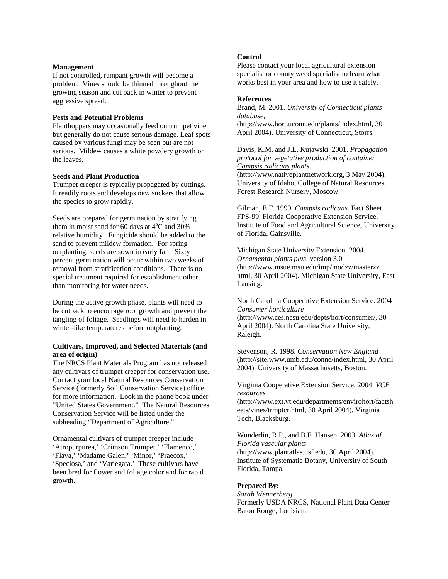#### **Management**

If not controlled, rampant growth will become a problem. Vines should be thinned throughout the growing season and cut back in winter to prevent aggressive spread.

#### **Pests and Potential Problems**

Planthoppers may occasionally feed on trumpet vine but generally do not cause serious damage. Leaf spots caused by various fungi may be seen but are not serious. Mildew causes a white powdery growth on the leaves.

#### **Seeds and Plant Production**

Trumpet creeper is typically propagated by cuttings. It readily roots and develops new suckers that allow the species to grow rapidly.

Seeds are prepared for germination by stratifying them in moist sand for 60 days at  $4^{\circ}$ C and 30% relative humidity. Fungicide should be added to the sand to prevent mildew formation. For spring outplanting, seeds are sown in early fall. Sixty percent germination will occur within two weeks of removal from stratification conditions. There is no special treatment required for establishment other than monitoring for water needs.

During the active growth phase, plants will need to be cutback to encourage root growth and prevent the tangling of foliage. Seedlings will need to harden in winter-like temperatures before outplanting.

#### **Cultivars, Improved, and Selected Materials (and area of origin)**

The NRCS Plant Materials Program has not released any cultivars of trumpet creeper for conservation use. Contact your local Natural Resources Conservation Service (formerly Soil Conservation Service) office for more information. Look in the phone book under "United States Government." The Natural Resources Conservation Service will be listed under the subheading "Department of Agriculture."

Ornamental cultivars of trumpet creeper include 'Atropurpurea,' 'Crimson Trumpet,' 'Flamenco,' 'Flava,' 'Madame Galen,' 'Minor,' 'Praecox,' 'Speciosa,' and 'Variegata.' These cultivars have been bred for flower and foliage color and for rapid growth.

#### **Control**

Please contact your local agricultural extension specialist or county weed specialist to learn what works best in your area and how to use it safely.

#### **References**

Brand, M. 2001. *University of Connecticut plants database*,

(http://www.hort.uconn.edu/plants/index.html, 30 April 2004). University of Connecticut, Storrs.

Davis, K.M. and J.L. Kujawski. 2001. *Propagation protocol for vegetative production of container Campsis radicans plants.* (http://www.nativeplantnetwork.org, 3 May 2004). University of Idaho, College of Natural Resources, Forest Research Nursery, Moscow.

Gilman, E.F. 1999. *Campsis radicans.* Fact Sheet FPS-99. Florida Cooperative Extension Service, Institute of Food and Agricultural Science, University of Florida, Gainsville.

Michigan State University Extension. 2004. *Ornamental plants plus,* version 3.0 (http://www.msue.msu.edu/imp/modzz/masterzz. html, 30 April 2004). Michigan State University, East Lansing.

North Carolina Cooperative Extension Service. 2004 *Consumer horticulture*

(http://www.ces.ncsu.edu/depts/hort/consumer/, 30 April 2004). North Carolina State University, Raleigh.

Stevenson, R. 1998. *Conservation New England* (http://site.www.umb.edu/conne/index.html, 30 April 2004). University of Massachusetts, Boston.

Virginia Cooperative Extension Service. 2004. *VCE resources* 

(http://www.ext.vt.edu/departments/envirohort/factsh eets/vines/trmptcr.html, 30 April 2004). Virginia Tech, Blacksburg.

Wunderlin, R.P., and B.F. Hansen. 2003. *Atlas of Florida vascular plants* (http://www.plantatlas.usf.edu, 30 April 2004). Institute of Systematic Botany, University of South Florida, Tampa.

#### **Prepared By:**

*Sarah Wennerberg*  Formerly USDA NRCS, National Plant Data Center Baton Rouge, Louisiana